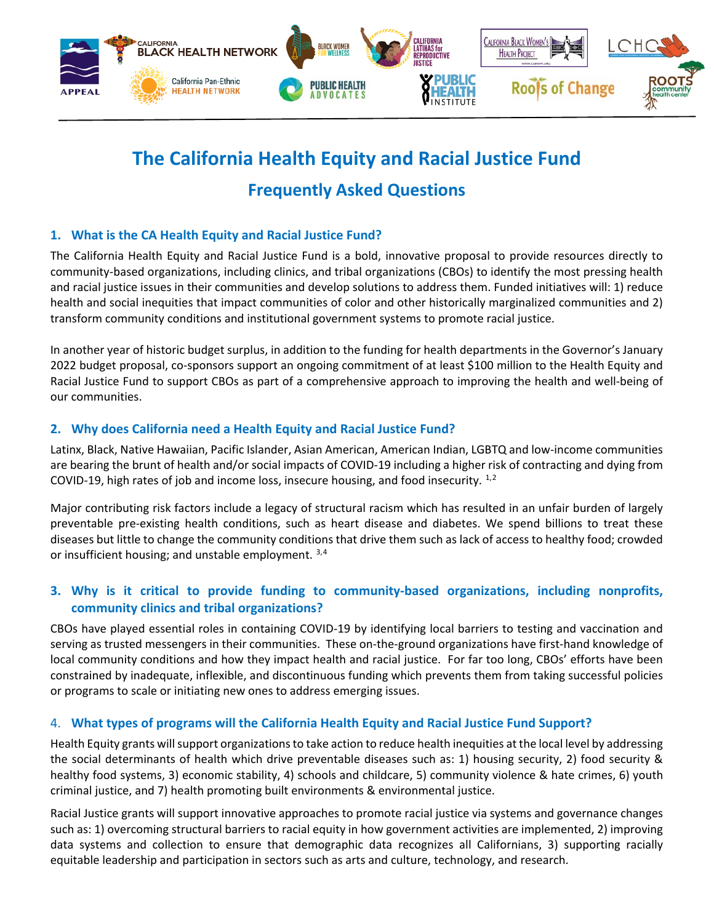

# **The California Health Equity and Racial Justice Fund Frequently Asked Questions**

# **1. What is the CA Health Equity and Racial Justice Fund?**

The California Health Equity and Racial Justice Fund is a bold, innovative proposal to provide resources directly to community-based organizations, including clinics, and tribal organizations (CBOs) to identify the most pressing health and racial justice issues in their communities and develop solutions to address them. Funded initiatives will: 1) reduce health and social inequities that impact communities of color and other historically marginalized communities and 2) transform community conditions and institutional government systems to promote racial justice.

In another year of historic budget surplus, in addition to the funding for health departments in the Governor's January 2022 budget proposal, co-sponsors support an ongoing commitment of at least \$100 million to the Health Equity and Racial Justice Fund to support CBOs as part of a comprehensive approach to improving the health and well-being of our communities.

# **2. Why does California need a Health Equity and Racial Justice Fund?**

Latinx, Black, Native Hawaiian, Pacific Islander, Asian American, American Indian, LGBTQ and low-income communities are bearing the brunt of health and/or social impacts of COVID-19 including a higher risk of contracting and dying from COVID-19, high rates of job and income loss, insecure housing, and food insecurity. [1](#page-1-0),[2](#page-1-1)

Major contributing risk factors include a legacy of structural racism which has resulted in an unfair burden of largely preventable pre-existing health conditions, such as heart disease and diabetes. We spend billions to treat these diseases but little to change the community conditions that drive them such as lack of access to healthy food; crowded or insufficient housing; and unstable employment.  $3,4$  $3,4$ 

# **3. Why is it critical to provide funding to community-based organizations, including nonprofits, community clinics and tribal organizations?**

CBOs have played essential roles in containing COVID-19 by identifying local barriers to testing and vaccination and serving as trusted messengers in their communities. These on-the-ground organizations have first-hand knowledge of local community conditions and how they impact health and racial justice. For far too long, CBOs' efforts have been constrained by inadequate, inflexible, and discontinuous funding which prevents them from taking successful policies or programs to scale or initiating new ones to address emerging issues.

#### 4. **What types of programs will the California Health Equity and Racial Justice Fund Support?**

Health Equity grants willsupport organizations to take action to reduce health inequities at the local level by addressing the social determinants of health which drive preventable diseases such as: 1) housing security, 2) food security & healthy food systems, 3) economic stability, 4) schools and childcare, 5) community violence & hate crimes, 6) youth criminal justice, and 7) health promoting built environments & environmental justice.

Racial Justice grants will support innovative approaches to promote racial justice via systems and governance changes such as: 1) overcoming structural barriers to racial equity in how government activities are implemented, 2) improving data systems and collection to ensure that demographic data recognizes all Californians, 3) supporting racially equitable leadership and participation in sectors such as arts and culture, technology, and research.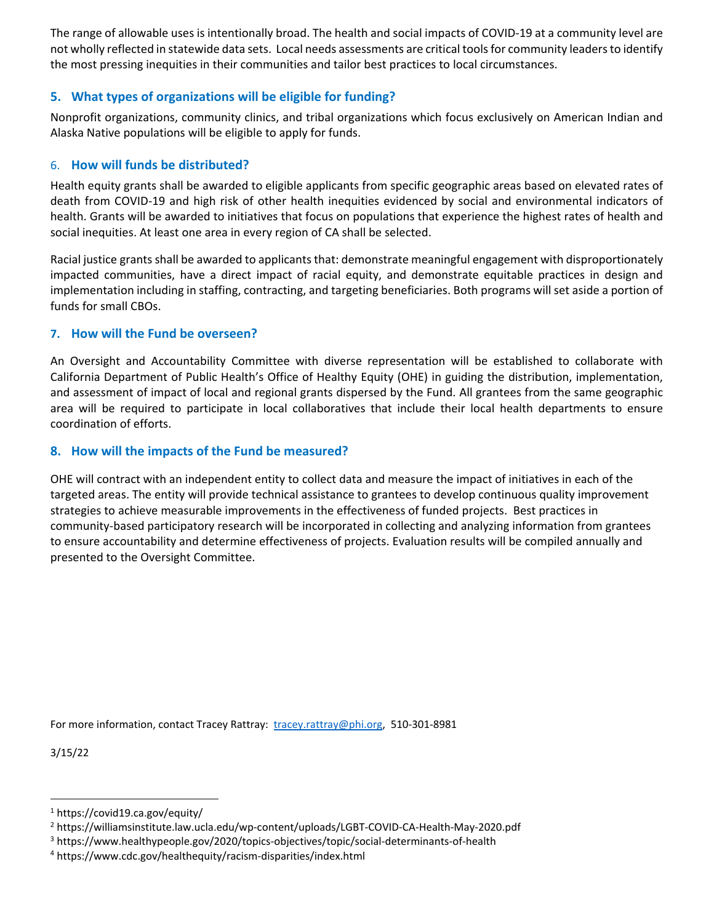The range of allowable uses is intentionally broad. The health and social impacts of COVID-19 at a community level are not wholly reflected in statewide data sets. Local needs assessments are critical tools for community leaders to identify the most pressing inequities in their communities and tailor best practices to local circumstances.

#### **5. What types of organizations will be eligible for funding?**

Nonprofit organizations, community clinics, and tribal organizations which focus exclusively on American Indian and Alaska Native populations will be eligible to apply for funds.

#### 6. **How will funds be distributed?**

Health equity grants shall be awarded to eligible applicants from specific geographic areas based on elevated rates of death from COVID-19 and high risk of other health inequities evidenced by social and environmental indicators of health. Grants will be awarded to initiatives that focus on populations that experience the highest rates of health and social inequities. At least one area in every region of CA shall be selected.

Racial justice grants shall be awarded to applicants that: demonstrate meaningful engagement with disproportionately impacted communities, have a direct impact of racial equity, and demonstrate equitable practices in design and implementation including in staffing, contracting, and targeting beneficiaries. Both programs will set aside a portion of funds for small CBOs.

#### **7. How will the Fund be overseen?**

An Oversight and Accountability Committee with diverse representation will be established to collaborate with California Department of Public Health's Office of Healthy Equity (OHE) in guiding the distribution, implementation, and assessment of impact of local and regional grants dispersed by the Fund. All grantees from the same geographic area will be required to participate in local collaboratives that include their local health departments to ensure coordination of efforts.

# **8. How will the impacts of the Fund be measured?**

OHE will contract with an independent entity to collect data and measure the impact of initiatives in each of the targeted areas. The entity will provide technical assistance to grantees to develop continuous quality improvement strategies to achieve measurable improvements in the effectiveness of funded projects. Best practices in community-based participatory research will be incorporated in collecting and analyzing information from grantees to ensure accountability and determine effectiveness of projects. Evaluation results will be compiled annually and presented to the Oversight Committee.

For more information, contact Tracey Rattray: [tracey.rattray@phi.org,](mailto:tracey.rattray@phi.org) 510-301-8981

3/15/22

<span id="page-1-0"></span><sup>1</sup> https://covid19.ca.gov/equity/

<span id="page-1-1"></span><sup>2</sup> https://williamsinstitute.law.ucla.edu/wp-content/uploads/LGBT-COVID-CA-Health-May-2020.pdf

<span id="page-1-2"></span><sup>3</sup> https://www.healthypeople.gov/2020/topics-objectives/topic/social-determinants-of-health

<span id="page-1-3"></span><sup>4</sup> https://www.cdc.gov/healthequity/racism-disparities/index.html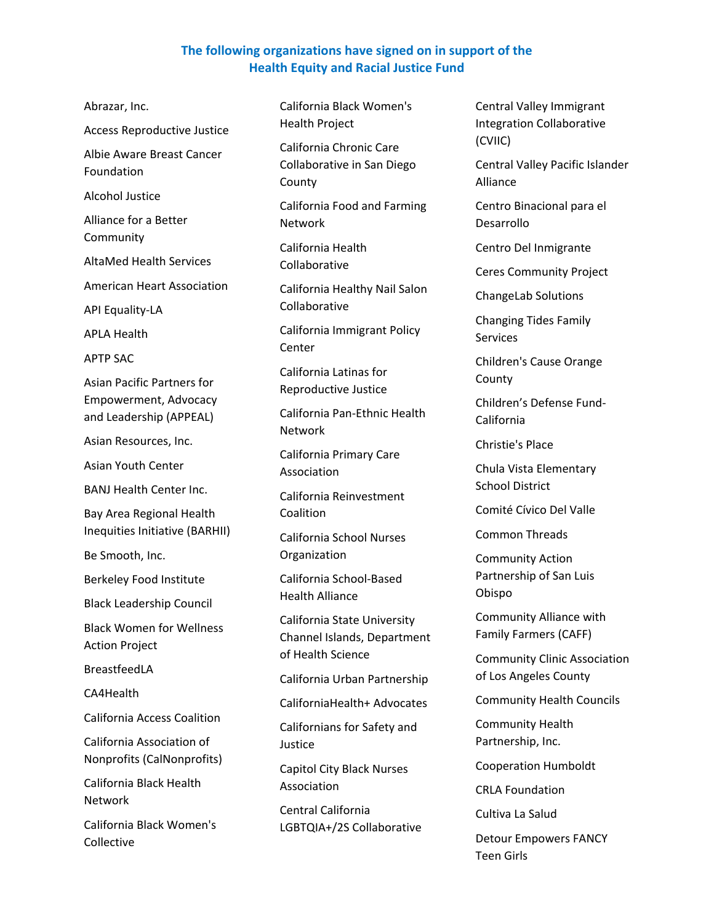# **The following organizations have signed on in support of the Health Equity and Racial Justice Fund**

Abrazar, Inc. Access Reproductive Justice Albie Aware Breast Cancer Foundation Alcohol Justice Alliance for a Better Community AltaMed Health Services American Heart Association API Equality-LA APLA Health APTP SAC Asian Pacific Partners for Empowerment, Advocacy and Leadership (APPEAL) Asian Resources, Inc. Asian Youth Center BANJ Health Center Inc. Bay Area Regional Health Inequities Initiative (BARHII) Be Smooth, Inc. Berkeley Food Institute Black Leadership Council Black Women for Wellness Action Project BreastfeedLA CA4Health California Access Coalition California Association of Nonprofits (CalNonprofits) California Black Health Network California Black Women's Collective

California Black Women's Health Project

California Chronic Care Collaborative in San Diego County

California Food and Farming Network

California Health Collaborative

California Healthy Nail Salon Collaborative

California Immigrant Policy Center

California Latinas for Reproductive Justice

California Pan-Ethnic Health Network

California Primary Care Association

California Reinvestment **Coalition** 

California School Nurses Organization

California School-Based Health Alliance

California State University Channel Islands, Department of Health Science

California Urban Partnership

CaliforniaHealth+ Advocates

Californians for Safety and Justice

Capitol City Black Nurses Association

Central California LGBTQIA+/2S Collaborative Central Valley Immigrant Integration Collaborative (CVIIC)

Central Valley Pacific Islander Alliance

Centro Binacional para el Desarrollo

Centro Del Inmigrante

Ceres Community Project

ChangeLab Solutions

Changing Tides Family **Services** 

Children's Cause Orange County

Children's Defense Fund-California

Christie's Place

Chula Vista Elementary School District

Comité Cívico Del Valle

Common Threads

Community Action Partnership of San Luis Obispo

Community Alliance with Family Farmers (CAFF)

Community Clinic Association of Los Angeles County

Community Health Councils

Community Health Partnership, Inc.

Cooperation Humboldt

CRLA Foundation

Cultiva La Salud

Detour Empowers FANCY Teen Girls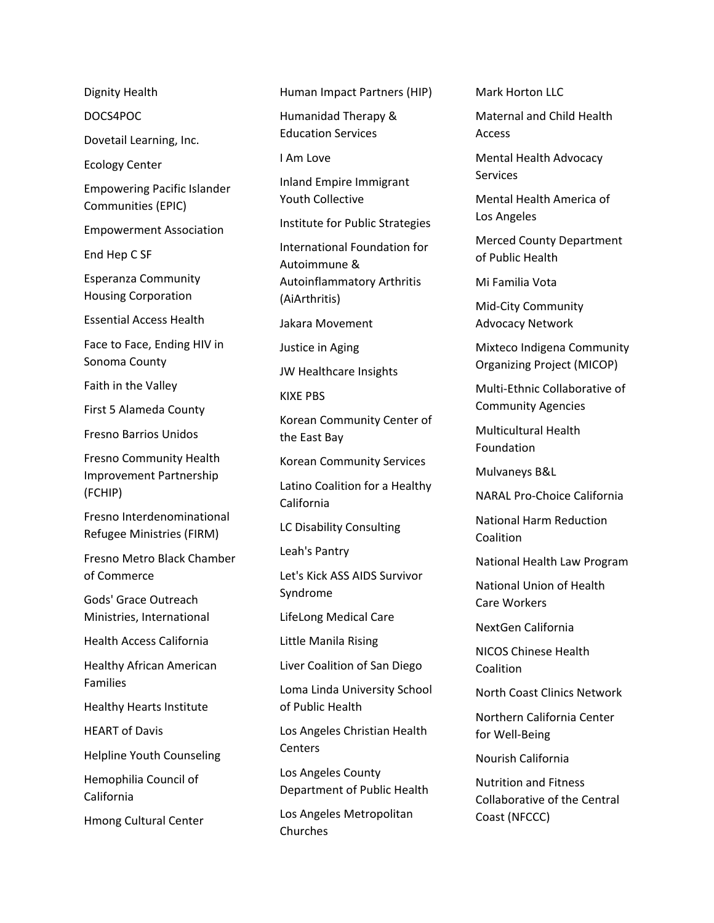Dignity Health

DOCS4POC

Dovetail Learning, Inc.

Ecology Center

Empowering Pacific Islander Communities (EPIC)

Empowerment Association

End Hep C SF

Esperanza Community Housing Corporation

Essential Access Health

Face to Face, Ending HIV in Sonoma County

Faith in the Valley

First 5 Alameda County

Fresno Barrios Unidos

Fresno Community Health Improvement Partnership (FCHIP)

Fresno Interdenominational Refugee Ministries (FIRM)

Fresno Metro Black Chamber of Commerce

Gods' Grace Outreach Ministries, International

Health Access California

Healthy African American Families

Healthy Hearts Institute

HEART of Davis

Helpline Youth Counseling

Hemophilia Council of California

Hmong Cultural Center

Human Impact Partners (HIP)

Humanidad Therapy & Education Services

I Am Love

Inland Empire Immigrant Youth Collective

Institute for Public Strategies

International Foundation for Autoimmune & Autoinflammatory Arthritis (AiArthritis)

Jakara Movement

Justice in Aging

JW Healthcare Insights

KIXE PBS

Korean Community Center of the East Bay

Korean Community Services

Latino Coalition for a Healthy California

LC Disability Consulting

Leah's Pantry

Let's Kick ASS AIDS Survivor Syndrome

LifeLong Medical Care

Little Manila Rising

Liver Coalition of San Diego

Loma Linda University School of Public Health

Los Angeles Christian Health **Centers** 

Los Angeles County Department of Public Health

Los Angeles Metropolitan Churches

Mark Horton LLC

Maternal and Child Health Access

Mental Health Advocacy **Services** 

Mental Health America of Los Angeles

Merced County Department of Public Health

Mi Familia Vota

Mid-City Community Advocacy Network

Mixteco Indigena Community Organizing Project (MICOP)

Multi-Ethnic Collaborative of Community Agencies

Multicultural Health Foundation

Mulvaneys B&L

NARAL Pro-Choice California

National Harm Reduction Coalition

National Health Law Program

National Union of Health Care Workers

NextGen California

NICOS Chinese Health Coalition

North Coast Clinics Network

Northern California Center for Well-Being

Nourish California

Nutrition and Fitness Collaborative of the Central Coast (NFCCC)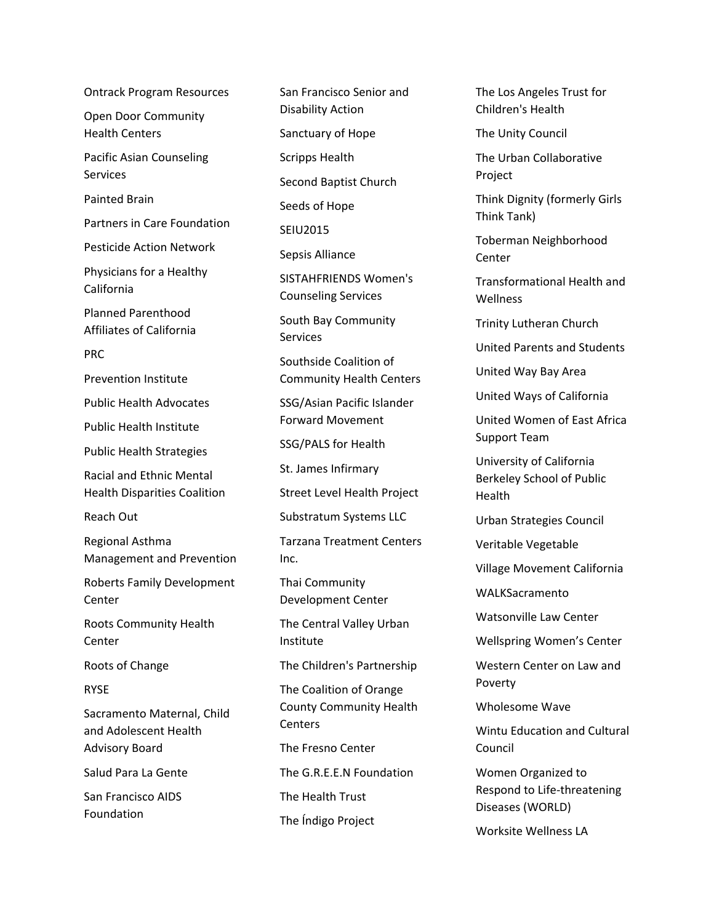Ontrack Program Resources Open Door Community Health Centers Pacific Asian Counseling Services Painted Brain Partners in Care Foundation Pesticide Action Network Physicians for a Healthy California Planned Parenthood Affiliates of California PRC Prevention Institute Public Health Advocates Public Health Institute Public Health Strategies Racial and Ethnic Mental Health Disparities Coalition Reach Out Regional Asthma Management and Prevention Roberts Family Development Center Roots Community Health **Center** Roots of Change RYSE Sacramento Maternal, Child and Adolescent Health Advisory Board Salud Para La Gente San Francisco AIDS Foundation

San Francisco Senior and Disability Action Sanctuary of Hope Scripps Health Second Baptist Church Seeds of Hope SEIU2015 Sepsis Alliance SISTAHFRIENDS Women's Counseling Services South Bay Community **Services** Southside Coalition of Community Health Centers SSG/Asian Pacific Islander Forward Movement SSG/PALS for Health St. James Infirmary Street Level Health Project Substratum Systems LLC Tarzana Treatment Centers Inc. Thai Community Development Center The Central Valley Urban Institute The Children's Partnership The Coalition of Orange County Community Health Centers The Fresno Center The G.R.E.E.N Foundation The Health Trust The Índigo Project

The Los Angeles Trust for Children's Health

The Unity Council

The Urban Collaborative Project

Think Dignity (formerly Girls Think Tank)

Toberman Neighborhood Center

Transformational Health and Wellness

Trinity Lutheran Church

United Parents and Students

United Way Bay Area

United Ways of California

United Women of East Africa Support Team

University of California Berkeley School of Public Health

Urban Strategies Council

Veritable Vegetable

Village Movement California

WALKSacramento

Watsonville Law Center

Wellspring Women's Center

Western Center on Law and Poverty

Wholesome Wave

Wintu Education and Cultural Council

Women Organized to Respond to Life-threatening Diseases (WORLD)

Worksite Wellness LA